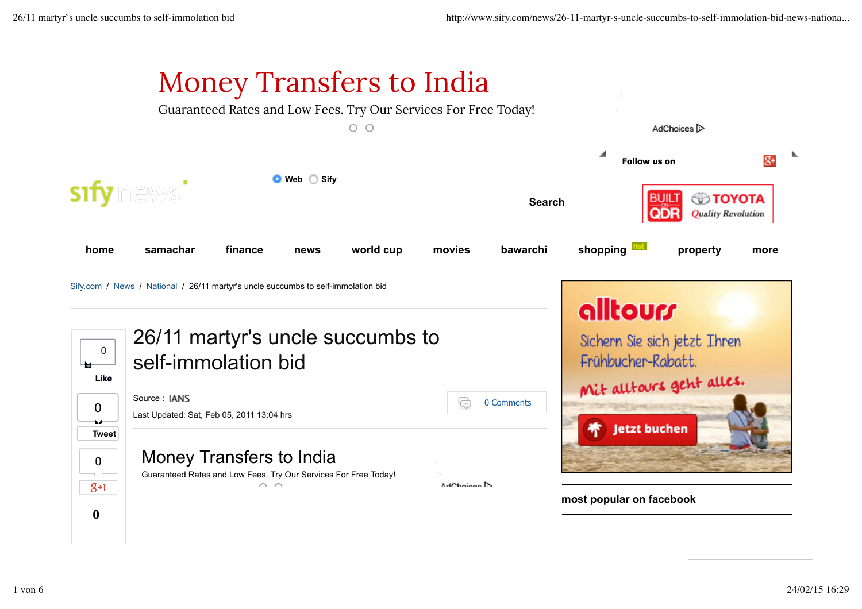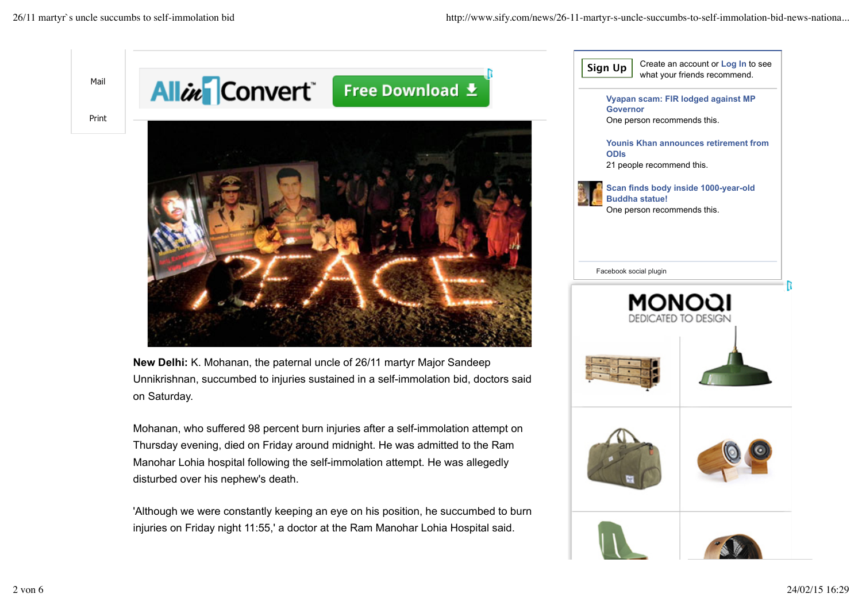Mail

Print

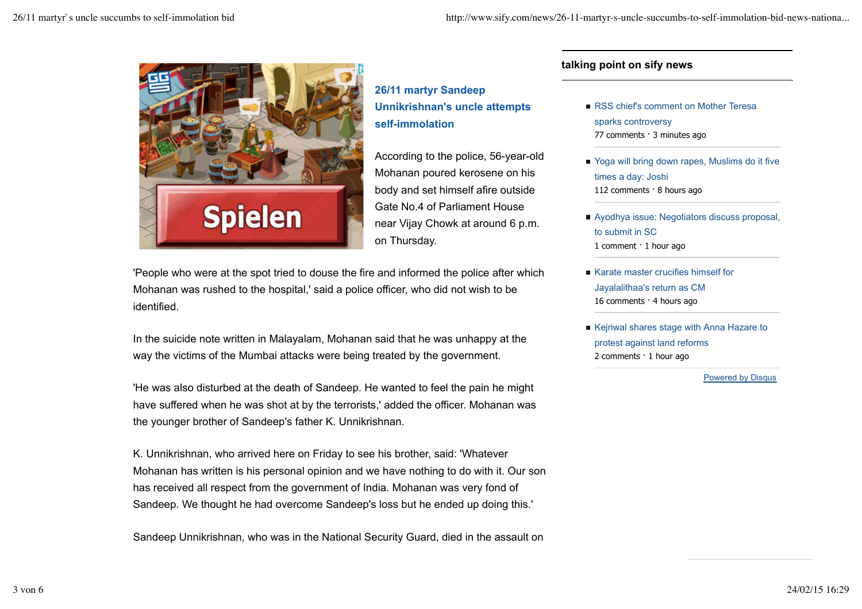

**26/11 martyr Sandeep Unnikrishnan's uncle attempts self-immolation**

According to the police, 56-year-old Mohanan poured kerosene on his body and set himself afire outside Gate No.4 of Parliament House near Vijay Chowk at around 6 p.m. on Thursday.

'People who were at the spot tried to douse the fire and informed the police after which Mohanan was rushed to the hospital,' said a police officer, who did not wish to be identified.

In the suicide note written in Malayalam, Mohanan said that he was unhappy at the way the victims of the Mumbai attacks were being treated by the government.

'He was also disturbed at the death of Sandeep. He wanted to feel the pain he might have suffered when he was shot at by the terrorists,' added the officer. Mohanan was the younger brother of Sandeep's father K. Unnikrishnan.

K. Unnikrishnan, who arrived here on Friday to see his brother, said: 'Whatever Mohanan has written is his personal opinion and we have nothing to do with it. Our son has received all respect from the government of India. Mohanan was very fond of Sandeep. We thought he had overcome Sandeep's loss but he ended up doing this.'

Sandeep Unnikrishnan, who was in the National Security Guard, died in the assault on

## **talking point on sify news**

- RSS chief's comment on Mother Teresa sparks controversy 77 comments · 3 minutes ago
- Yoga will bring down rapes, Muslims do it five times a day: Joshi 112 comments · 8 hours ago
- Ayodhya issue: Negotiators discuss proposal, to submit in SC 1 comment · 1 hour ago
- Karate master crucifies himself for Jayalalithaa's return as CM 16 comments · 4 hours ago
- Kejriwal shares stage with Anna Hazare to protest against land reforms 2 comments · 1 hour ago

Powered by Disqus